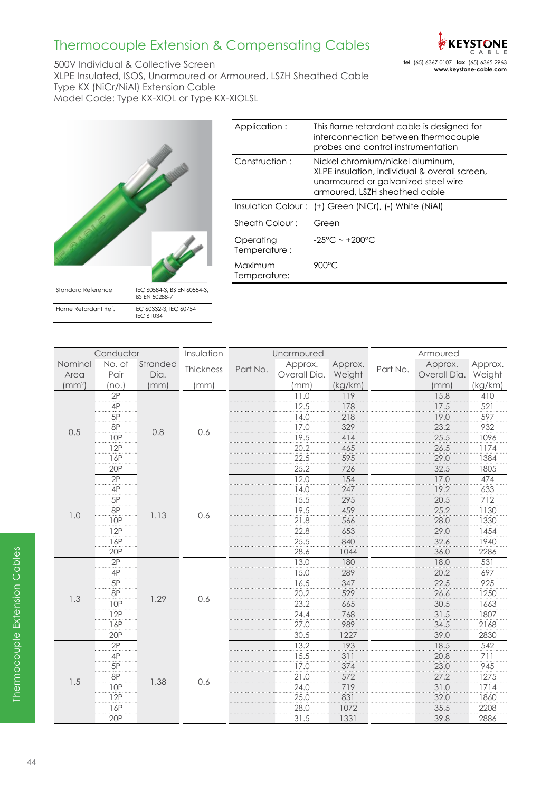

500V Individual & Collective Screen XLPE Insulated, ISOS, Unarmoured or Armoured, LSZH Sheathed Cable Type KX (NiCr/NiAl) Extension Cable Model Code: Type KX-XIOL or Type KX-XIOLSL



| Application:              | This flame retardant cable is designed for<br>interconnection between thermocouple<br>probes and control instrumentation                                  |
|---------------------------|-----------------------------------------------------------------------------------------------------------------------------------------------------------|
| Construction:             | Nickel chromium/nickel aluminum,<br>XLPE insulation, individual & overall screen,<br>unarmoured or galvanized steel wire<br>armoured, LSZH sheathed cable |
|                           | Insulation Colour: (+) Green (NiCr), (-) White (NiAl)                                                                                                     |
| Sheath Colour:            | Green                                                                                                                                                     |
| Operating<br>Temperature: | $-25^{\circ}$ C ~ +200 $^{\circ}$ C                                                                                                                       |
| Maximum<br>Temperature:   | 900°C                                                                                                                                                     |

| Conductor          |                |                  | Insulation | Unarmoured |                         |                   | Armoured |                         |                   |
|--------------------|----------------|------------------|------------|------------|-------------------------|-------------------|----------|-------------------------|-------------------|
| Nominal<br>Area    | No. of<br>Pair | Stranded<br>Dia. | Thickness  | Part No.   | Approx.<br>Overall Dia. | Approx.<br>Weight | Part No. | Approx.<br>Overall Dia. | Approx.<br>Weight |
| (mm <sup>2</sup> ) | (no.           | (mm)             | (mm)       |            | (mm)                    | (kg/km)           |          | (mm)                    | (kg/km)           |
|                    | 2P             |                  |            |            | 11.0                    | 119               |          | 15.8                    | 410               |
|                    | 4P             |                  |            |            | 12.5                    | 178               |          | 17.5                    | 521               |
|                    | 5P             |                  | 0.6        |            | 14.0                    | 218               |          | 19.0                    | 597               |
| 0.5                | 8P             | 0.8              |            |            | 17.0                    | 329               |          | 23.2                    | 932               |
|                    | <b>10P</b>     |                  |            |            | 19.5                    | 414               |          | 25.5                    | 1096              |
|                    | 12P            |                  |            |            | 20.2                    | 465               |          | 26.5                    | 1174              |
|                    | 16P            |                  |            |            | 22.5                    | 595               |          | 29.0                    | 1384              |
|                    | 20P            |                  |            |            | 25.2                    | 726               |          | 32.5                    | 1805              |
|                    | 2P             |                  |            |            | 12.0                    | 154               |          | 17.0                    | 474               |
|                    | 4P             |                  |            |            | 14.0                    | 247               |          | 19.2                    | 633               |
|                    | 5P             |                  | 0.6        |            | 15.5                    | 295               |          | 20.5                    | 712               |
| 1.0                | 8P             | 1.13             |            |            | 19.5                    | 459               |          | 25.2                    | 1130              |
|                    | 10P            |                  |            |            | 21.8                    | 566               |          | 28.0                    | 1330              |
|                    | 12P            |                  |            |            | 22.8                    | 653               |          | 29.0                    | 1454              |
|                    | 16P            |                  |            |            | 25.5                    | 840               |          | 32.6                    | 1940              |
|                    | 20P            |                  |            |            | 28.6                    | 1044              |          | 36.0                    | 2286              |
|                    | 2P             |                  | 0.6        |            | 13.0                    | 180               |          | 18.0                    | 531               |
|                    | 4P             |                  |            |            | 15.0                    | 289               |          | 20.2                    | 697               |
|                    | 5P             |                  |            |            | 16.5                    | 347               |          | 22.5                    | 925               |
| 1.3                | 8P             | 1.29             |            |            | 20.2                    | 529               |          | 26.6                    | 1250              |
|                    | $rac{100}{10}$ |                  |            |            | 23.2                    | 665               |          | 30.5                    | 1663              |
|                    | 12P            |                  |            |            | 24.4                    | 768               |          | 31.5                    | 1807              |
|                    | 16P            |                  |            |            | 27.0                    | 989               |          | 34.5                    | 2168              |
|                    | 20P            |                  |            |            | 30.5                    | 1227              |          | 39.0                    | 2830              |
|                    | 2P             |                  |            |            | 13.2                    | 193               |          | 18.5                    | 542               |
|                    | 4P             |                  |            |            | 15.5                    | 311               |          | 20.8                    | 711               |
|                    | 5P             |                  |            |            | 17.0                    | 374               |          | 23.0                    | 945               |
| 1.5                | 8P             |                  | 0.6        |            | 21.0                    | 572               |          | 27.2                    | 1275              |
|                    | 10P            | 1.38             |            |            | 24.0                    | 719               |          | 31.0                    | 1714              |
|                    | 12P            |                  |            |            | 25.0                    | 831               |          | 32.0                    | 1860              |
|                    | 16P            |                  |            |            | 28.0                    | 1072              |          | 35.5                    | 2208              |
|                    | 20P            |                  |            |            | 31.5                    | 1331              |          | 39.8                    | 2886              |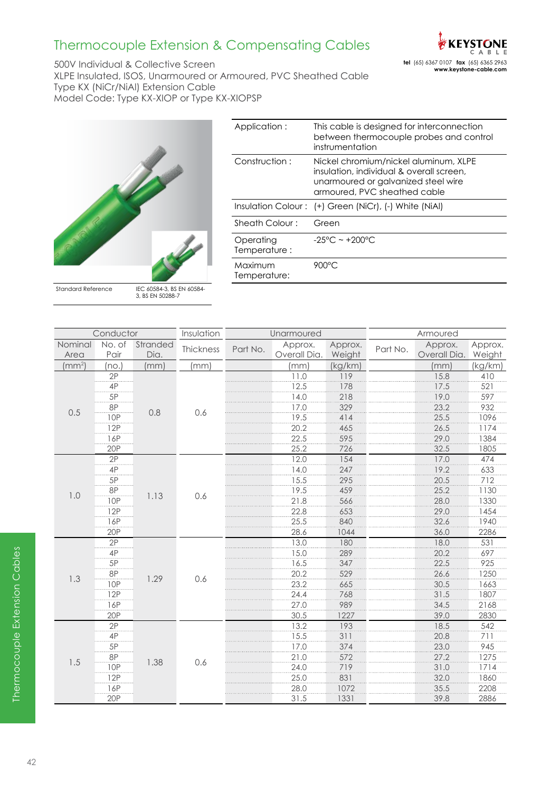

500V Individual & Collective Screen XLPE Insulated, ISOS, Unarmoured or Armoured, PVC Sheathed Cable Type KX (NiCr/NiAl) Extension Cable Model Code: Type KX-XIOP or Type KX-XIOPSP



| Application:              | This cable is designed for interconnection<br>between thermocouple probes and control<br>instrumentation                                                 |
|---------------------------|----------------------------------------------------------------------------------------------------------------------------------------------------------|
| Construction:             | Nickel chromium/nickel aluminum, XLPE<br>insulation, individual & overall screen,<br>unarmoured or galvanized steel wire<br>armoured, PVC sheathed cable |
|                           | Insulation Colour: (+) Green (NiCr), (-) White (NiAl)                                                                                                    |
| Sheath Colour:            | Green                                                                                                                                                    |
| Operating<br>Temperature: | $-25^{\circ}$ C ~ +200 $^{\circ}$ C                                                                                                                      |
| Maximum<br>Temperature:   | 900°C                                                                                                                                                    |

Standard Reference IEC 60584-3, BS EN 60584- 3, BS EN 50288-7

|                    | Conductor  |          | Insulation | Unarmoured |              |         | Armoured |              |         |
|--------------------|------------|----------|------------|------------|--------------|---------|----------|--------------|---------|
| Nominal            | No. of     | Stranded | Thickness  | Part No.   | Approx.      | Approx. | Part No. | Approx.      | Approx. |
| Area               | Pair       | Dia.     |            |            | Overall Dia. | Weight  |          | Overall Dia. | Weight  |
| (mm <sup>2</sup> ) | no.        | (mm)     | (mm)       |            | (mm)         | (kg/km) |          | (mm)         | (kg/km) |
|                    | 2P         |          |            |            | 11.0         | 119     |          | 15.8         | 410     |
|                    | 4P         |          |            |            | 12.5         | 178     |          | 17.5         | 521     |
|                    | 5P         |          |            |            | 14.0         | 218     |          | 19.0         | 597     |
| 0.5                | 8P         | 0.8      | 0.6        |            | 17.0         | 329     |          | 23.2         | 932     |
|                    | 10P        |          |            |            | 19.5         | 414     |          | 25.5         | 1096    |
|                    | 12P        |          |            |            | 20.2         | 465     |          | 26.5         | 1174    |
|                    | 16P        |          |            |            | 22.5         | 595     |          | 29.0         | 1384    |
|                    | 20P        |          |            |            | 25.2         | 726     |          | 32.5         | 1805    |
|                    | 2P         |          |            |            | 12.0         | 154     |          | 17.0         | 474     |
|                    | 4P         |          |            |            | 14.0         | 247     |          | 19.2         | 633     |
|                    | 5P         |          |            |            | 15.5         | 295     |          | 20.5         | 712     |
| 1.0                | 8P         | 1.13     | 0.6        |            | 19.5         | 459     |          | 25.2         | 1130    |
|                    | 10P        |          |            |            | 21.8         | 566     |          | 28.0         | 1330    |
|                    | 12P        |          |            |            | 22.8         | 653     |          | 29.0         | 1454    |
|                    | 16P        |          |            |            | 25.5         | 840     |          | 32.6         | 1940    |
|                    | 20P        |          |            |            | 28.6         | 1044    |          | 36.0         | 2286    |
|                    | 2P         |          |            |            | 13.0         | 180     |          | 18.0         | 531     |
|                    | 4P         |          |            |            | 15.0         | 289     |          | 20.2         | 697     |
|                    | 5P         |          |            |            | 16.5         | 347     |          | 22.5         | 925     |
| 1.3                | 8P         | 1.29     | 0.6        |            | 20.2         | 529     |          | 26.6         | 1250    |
|                    | <b>10P</b> |          |            |            | 23.2         | 665     |          | 30.5         | 1663    |
|                    | 12P        |          |            |            | 24.4         | 768     |          | 31.5         | 1807    |
|                    | 16P        |          |            |            | 27.0         | 989     |          | 34.5         | 2168    |
|                    | <b>20P</b> |          |            |            | 30.5         | 1227    |          | 39.0         | 2830    |
|                    | 2P         |          |            |            | 13.2         | 193     |          | 18.5         | 542     |
|                    | 4P         |          |            |            | 15.5         | 311     |          | 20.8         | 711     |
|                    | 5P         |          |            |            | 17.0         | 374     |          | 23.0         | 945     |
| 1.5                | 8P         | 1.38     | 0.6        |            | 21.0         | 572     |          | 27.2         | 1275    |
|                    | 10P        |          |            |            | 24.0         | 719     |          | 31.0         | 1714    |
|                    | 12P        |          |            |            | 25.0         | 831     |          | 32.0         | 1860    |
|                    | 16P        |          |            |            | 28.0         | 1072    |          | 35.5         | 2208    |
|                    | 20P        |          |            |            | 31.5         | 1331    |          | 39.8         | 2886    |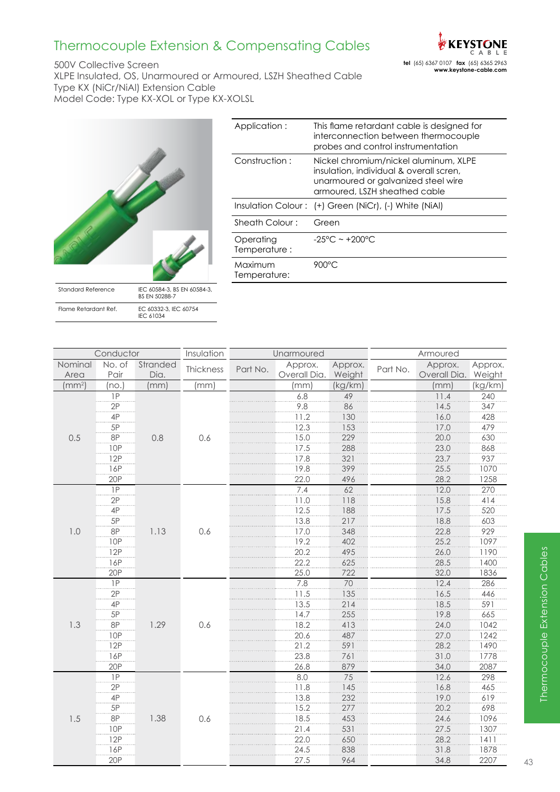

500V Collective Screen XLPE Insulated, OS, Unarmoured or Armoured, LSZH Sheathed Cable Type KX (NiCr/NiAl) Extension Cable Model Code: Type KX-XOL or Type KX-XOLSL



| Application:              | This flame retardant cable is designed for<br>interconnection between thermocouple<br>probes and control instrumentation                                 |
|---------------------------|----------------------------------------------------------------------------------------------------------------------------------------------------------|
| Construction:             | Nickel chromium/nickel aluminum, XLPE<br>insulation, individual & overall scren,<br>unarmoured or galvanized steel wire<br>armoured, LSZH sheathed cable |
|                           | Insulation Colour: (+) Green (NiCr), (-) White (NiAl)                                                                                                    |
| Sheath Colour:            | Green                                                                                                                                                    |
| Operating<br>Temperature: | $-25^{\circ}$ C ~ +200 $^{\circ}$ C                                                                                                                      |
| Maximum<br>Temperature:   | 900°C                                                                                                                                                    |
|                           |                                                                                                                                                          |

| Conductor          |                 | Insulation       | Unarmoured |          |                         | Armoured          |          |                                |         |
|--------------------|-----------------|------------------|------------|----------|-------------------------|-------------------|----------|--------------------------------|---------|
| Nominal<br>Area    | No. of<br>Pair  | Stranded<br>Dia. | Thickness  | Part No. | Approx.<br>Overall Dia. | Approx.<br>Weight | Part No. | Approx.<br>Overall Dia. Weight | Approx. |
| (mm <sup>2</sup> ) | (no.)           | (mm)             | (mm)       |          | (mm)                    | (kg/km)           |          | (mm)                           | (kg/km) |
|                    | 1P              |                  |            |          | $6.8$                   | 49                |          | 11.4                           | 240     |
|                    | 2P              |                  |            |          | $9.8\,$                 | 86                |          | 14.5                           | 347     |
|                    | 4P              |                  | 0.6        |          | 11.2                    | 130               |          | 16.0                           | 428     |
|                    | 5P              |                  |            |          | 12.3                    | 153               |          | 17.0                           | 479     |
| 0.5                | 8P              | 0.8              |            |          | 15.0                    | 229               |          | 20.0                           | 630     |
|                    | <b>10P</b>      |                  |            |          | 17.5                    | 288               |          | 23.0                           | 868     |
|                    | 12P             |                  |            |          | 17.8                    | 321               |          | 23.7                           | 937     |
|                    | 16P             |                  |            |          | 19.8                    | 399               |          | 25.5                           | 1070    |
|                    | 20P             |                  |            |          | 22.0                    | 496               |          | 28.2                           | 1258    |
|                    | $\overline{IP}$ |                  |            |          | 7.4                     | 62                |          | 12.0                           | 270     |
|                    | 2P              |                  |            |          | 11.0                    | 118               |          | 15.8                           | 414     |
|                    | $4\mathsf{P}$   |                  |            |          | 12.5                    | 188               |          | 17.5                           | 520     |
|                    | 5P              |                  |            |          | 13.8                    | 217               |          | 18.8                           | 603     |
| 1.0                | 8P              | 1.13             | 0.6        |          | 17.0                    | 348               |          | 22.8                           | 929     |
|                    | <b>10P</b>      |                  |            |          | 19.2                    | 402               |          | 25.2                           | 1097    |
|                    | 12P             |                  |            |          | 20.2                    | 495               |          | 26.0                           | 1190    |
|                    | 16P             |                  |            |          | 22.2                    | 625               |          | 28.5                           | 1400    |
|                    | 20P             |                  |            |          | 25.0                    | 722               |          | 32.0                           | 1836    |
|                    | 1P              |                  |            |          | 7.8                     | 70                |          | 12.4                           | 286     |
|                    | 2P              |                  | 0.6        |          | 11.5                    | 135               |          | 16.5                           | 446     |
|                    | 4P              |                  |            |          | 13.5                    | 214               |          | 18.5                           | 591     |
|                    | 5P              |                  |            |          | 14.7                    | 255               |          | 19.8                           | 665     |
| 1.3                | 8P              | 1.29             |            |          | 18.2                    | 413               |          | 24.0                           | 1042    |
|                    | <b>10P</b>      |                  |            |          | 20.6                    | 487               |          | 27.0                           | 1242    |
|                    | 12P             |                  |            |          | 21.2                    | 591               |          | 28.2                           | 1490    |
|                    | 16P             |                  |            |          | 23.8                    | 761               |          | 31.0                           | 1778    |
|                    | 20P             |                  |            |          | 26.8                    | 879               |          | 34.0                           | 2087    |
|                    | 1P              |                  |            |          | 8.0                     | 75                |          | 12.6                           | 298     |
|                    | 2P              |                  |            |          | 11.8                    | 145               |          | 16.8                           | 465     |
|                    | 4P              |                  |            |          | 13.8                    | 232               |          | 19.0                           | 619     |
|                    | 5P              |                  |            |          | 15.2                    | 277               |          | 20.2                           | 698     |
| 1.5                | <b>8P</b>       | 1.38             | 0.6        |          | 18.5                    | 453               |          | 24.6                           | 1096    |
|                    | 10P             |                  |            |          | 21.4                    | 531               |          | 27.5                           | 1307    |
|                    | 12P             |                  |            |          | 22.0                    | 650               |          | 28.2                           | 1411    |
|                    | 16P             |                  |            |          | 24.5                    | 838               |          | 31.8                           | 1878    |
|                    | 20P             |                  |            |          | 27.5                    | 964               |          | 34.8                           | 2207    |